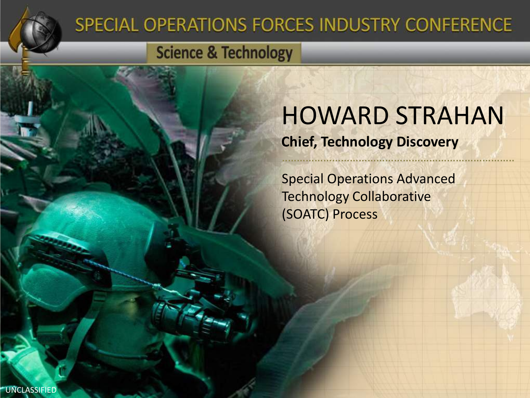

### SPECIAL OPERATIONS FORCES INDUSTRY CONFERENCE

### **Science & Technology**

# HOWARD STRAHAN

#### **Chief, Technology Discovery**

Special Operations Advanced Technology Collaborative (SOATC) Process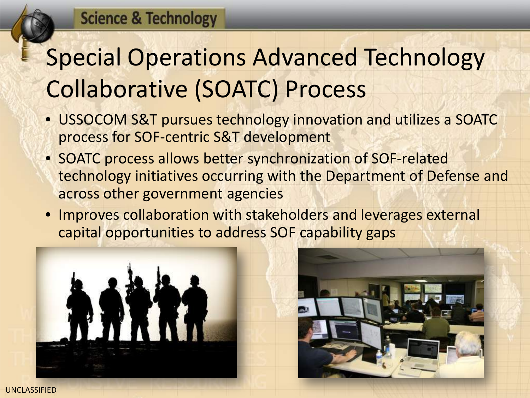## Special Operations Advanced Technology Collaborative (SOATC) Process

- USSOCOM S&T pursues technology innovation and utilizes a SOATC process for SOF-centric S&T development
- SOATC process allows better synchronization of SOF-related technology initiatives occurring with the Department of Defense and across other government agencies
- Improves collaboration with stakeholders and leverages external capital opportunities to address SOF capability gaps



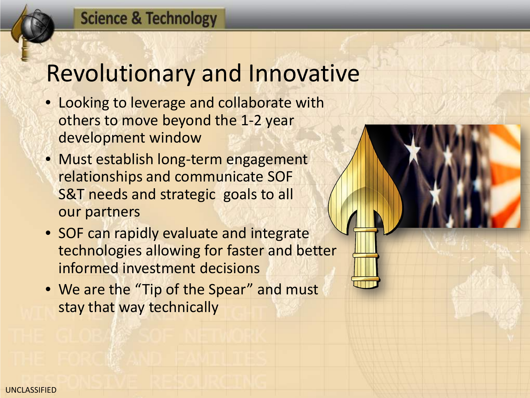#### **Science & Technology**

### Revolutionary and Innovative

- Looking to leverage and collaborate with others to move beyond the 1-2 year development window
- Must establish long-term engagement relationships and communicate SOF S&T needs and strategic goals to all our partners
- SOF can rapidly evaluate and integrate technologies allowing for faster and better informed investment decisions
- We are the "Tip of the Spear" and must stay that way technically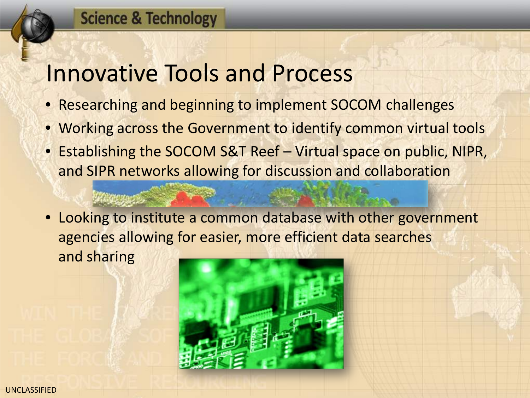#### **Science & Technology**

### Innovative Tools and Process

- Researching and beginning to implement SOCOM challenges
- Working across the Government to identify common virtual tools
- Establishing the SOCOM S&T Reef Virtual space on public, NIPR, and SIPR networks allowing for discussion and collaboration
- Looking to institute a common database with other government agencies allowing for easier, more efficient data searches and sharing